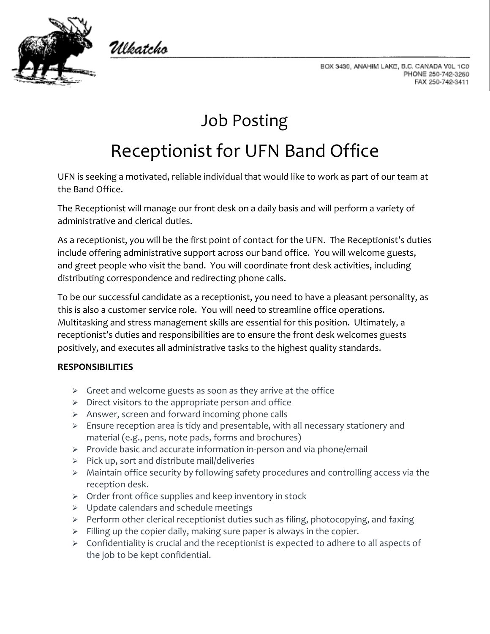

Ulkatcho



## Job Posting

# Receptionist for UFN Band Office

UFN is seeking a motivated, reliable individual that would like to work as part of our team at the Band Office.

The Receptionist will manage our front desk on a daily basis and will perform a variety of administrative and clerical duties.

As a receptionist, you will be the first point of contact for the UFN. The Receptionist's duties include offering administrative support across our band office. You will welcome guests, and greet people who visit the band. You will coordinate front desk activities, including distributing correspondence and redirecting phone calls.

To be our successful candidate as a receptionist, you need to have a pleasant personality, as this is also a customer service role. You will need to streamline office operations. Multitasking and stress management skills are essential for this position. Ultimately, a receptionist's duties and responsibilities are to ensure the front desk welcomes guests positively, and executes all administrative tasks to the highest quality standards.

### **RESPONSIBILITIES**

- $\triangleright$  Greet and welcome guests as soon as they arrive at the office
- $\triangleright$  Direct visitors to the appropriate person and office
- $\triangleright$  Answer, screen and forward incoming phone calls
- $\triangleright$  Ensure reception area is tidy and presentable, with all necessary stationery and material (e.g., pens, note pads, forms and brochures)
- $\triangleright$  Provide basic and accurate information in-person and via phone/email
- $\triangleright$  Pick up, sort and distribute mail/deliveries
- Maintain office security by following safety procedures and controlling access via the reception desk.
- $\triangleright$  Order front office supplies and keep inventory in stock
- $\triangleright$  Update calendars and schedule meetings
- $\triangleright$  Perform other clerical receptionist duties such as filing, photocopying, and faxing
- $\triangleright$  Filling up the copier daily, making sure paper is always in the copier.
- $\triangleright$  Confidentiality is crucial and the receptionist is expected to adhere to all aspects of the job to be kept confidential.